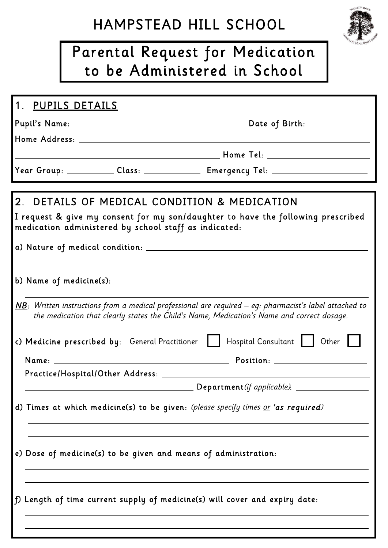## HAMPSTEAD HILL SCHOOL

# Parental Request for Medication to be Administered in School

#### 1. PUPILS DETAILS

Pupil's Name: Date of Birth: .

Home Address: .

Home Tel: .

Year Group: \_\_\_\_\_\_\_\_\_\_\_ Class: \_\_\_\_\_\_\_\_\_\_\_\_\_\_ Emergency Tel: \_\_\_\_\_\_\_\_\_\_\_\_\_\_\_\_\_\_\_

#### 2. DETAILS OF MEDICAL CONDITION & MEDICATION

I request & give my consent for my son/daughter to have the following prescribed medication administered by school staff as indicated:

<u>. Andre and the second control of the second control of the second control of the second control of the second</u>

a) Nature of medical condition: .

|  | $\underline{\mathsf{NB}}$ : Written instructions from a medical professional are required – eg: pharmacist's label attached to<br>the medication that clearly states the Child's Name, Medication's Name and correct dosage. |  |  |
|--|------------------------------------------------------------------------------------------------------------------------------------------------------------------------------------------------------------------------------|--|--|
|  | c) Medicine prescribed by: General Practitioner     Hospital Consultant     Other                                                                                                                                            |  |  |
|  |                                                                                                                                                                                                                              |  |  |
|  |                                                                                                                                                                                                                              |  |  |
|  |                                                                                                                                                                                                                              |  |  |
|  |                                                                                                                                                                                                                              |  |  |
|  | d) Times at which medicine(s) to be given: (please specify times or 'as required)                                                                                                                                            |  |  |
|  | e) Dose of medicine(s) to be given and means of administration:                                                                                                                                                              |  |  |